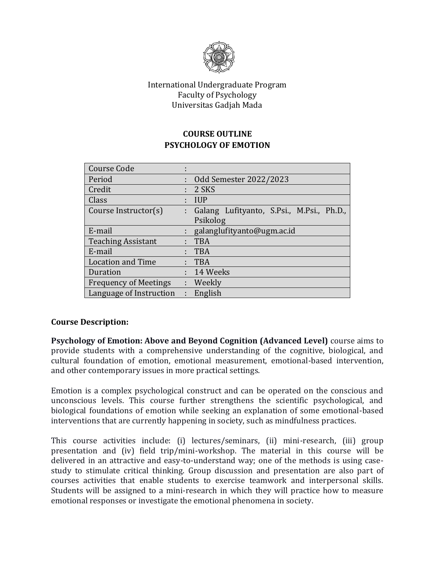

## International Undergraduate Program Faculty of Psychology Universitas Gadjah Mada

# **COURSE OUTLINE PSYCHOLOGY OF EMOTION**

| <b>Course Code</b>           |   |                                           |
|------------------------------|---|-------------------------------------------|
| Period                       | t | Odd Semester 2022/2023                    |
| Credit                       |   | 2 SKS                                     |
| Class                        |   | <b>IUP</b>                                |
| Course Instructor(s)         |   | Galang Lufityanto, S.Psi., M.Psi., Ph.D., |
|                              |   | Psikolog                                  |
| E-mail                       |   | galanglufityanto@ugm.ac.id                |
| <b>Teaching Assistant</b>    |   | <b>TBA</b>                                |
| E-mail                       |   | <b>TBA</b>                                |
| <b>Location and Time</b>     |   | <b>TBA</b>                                |
| Duration                     |   | 14 Weeks                                  |
| <b>Frequency of Meetings</b> | ÷ | Weekly                                    |
| Language of Instruction      | ÷ | English                                   |

## **Course Description:**

**Psychology of Emotion: Above and Beyond Cognition (Advanced Level)** course aims to provide students with a comprehensive understanding of the cognitive, biological, and cultural foundation of emotion, emotional measurement, emotional-based intervention, and other contemporary issues in more practical settings.

Emotion is a complex psychological construct and can be operated on the conscious and unconscious levels. This course further strengthens the scientific psychological, and biological foundations of emotion while seeking an explanation of some emotional-based interventions that are currently happening in society, such as mindfulness practices.

This course activities include: (i) lectures/seminars, (ii) mini-research, (iii) group presentation and (iv) field trip/mini-workshop. The material in this course will be delivered in an attractive and easy-to-understand way; one of the methods is using casestudy to stimulate critical thinking. Group discussion and presentation are also part of courses activities that enable students to exercise teamwork and interpersonal skills. Students will be assigned to a mini-research in which they will practice how to measure emotional responses or investigate the emotional phenomena in society.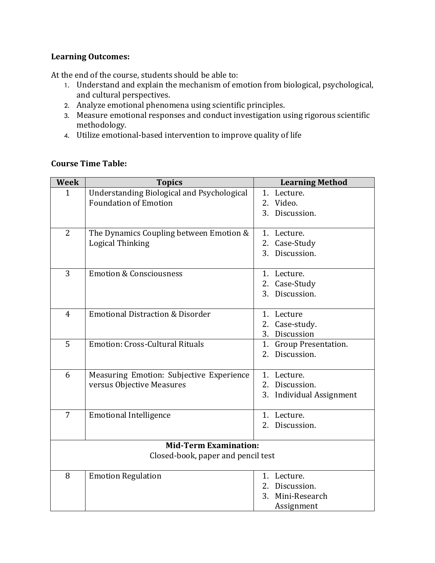## **Learning Outcomes:**

At the end of the course, students should be able to:

- 1. Understand and explain the mechanism of emotion from biological, psychological, and cultural perspectives.
- 2. Analyze emotional phenomena using scientific principles.
- 3. Measure emotional responses and conduct investigation using rigorous scientific methodology.
- 4. Utilize emotional-based intervention to improve quality of life

## **Course Time Table:**

| <b>Week</b>                        | <b>Topics</b>                               | <b>Learning Method</b>   |  |  |  |
|------------------------------------|---------------------------------------------|--------------------------|--|--|--|
| $\mathbf{1}$                       | Understanding Biological and Psychological  | 1. Lecture.              |  |  |  |
|                                    | <b>Foundation of Emotion</b>                | 2. Video.                |  |  |  |
|                                    |                                             | Discussion.<br>3.        |  |  |  |
|                                    |                                             |                          |  |  |  |
| $\overline{2}$                     | The Dynamics Coupling between Emotion &     | 1. Lecture.              |  |  |  |
|                                    | <b>Logical Thinking</b>                     | 2. Case-Study            |  |  |  |
|                                    |                                             | 3. Discussion.           |  |  |  |
|                                    |                                             |                          |  |  |  |
| 3                                  | <b>Emotion &amp; Consciousness</b>          | 1. Lecture.              |  |  |  |
|                                    |                                             | 2. Case-Study            |  |  |  |
|                                    |                                             | 3. Discussion.           |  |  |  |
| $\overline{4}$                     | <b>Emotional Distraction &amp; Disorder</b> | 1. Lecture               |  |  |  |
|                                    |                                             | Case-study.<br>2.        |  |  |  |
|                                    |                                             | Discussion<br>3.         |  |  |  |
| 5                                  | <b>Emotion: Cross-Cultural Rituals</b>      | 1. Group Presentation.   |  |  |  |
|                                    |                                             | 2. Discussion.           |  |  |  |
|                                    |                                             |                          |  |  |  |
| 6                                  | Measuring Emotion: Subjective Experience    | 1. Lecture.              |  |  |  |
|                                    | versus Objective Measures                   | 2. Discussion.           |  |  |  |
|                                    |                                             | 3. Individual Assignment |  |  |  |
| 7                                  |                                             |                          |  |  |  |
|                                    | <b>Emotional Intelligence</b>               | 1. Lecture.<br>2.        |  |  |  |
|                                    |                                             | Discussion.              |  |  |  |
| <b>Mid-Term Examination:</b>       |                                             |                          |  |  |  |
| Closed-book, paper and pencil test |                                             |                          |  |  |  |
| 8                                  | <b>Emotion Regulation</b>                   | 1. Lecture.              |  |  |  |
|                                    |                                             | Discussion.<br>2.        |  |  |  |
|                                    |                                             | Mini-Research<br>3.      |  |  |  |
|                                    |                                             | Assignment               |  |  |  |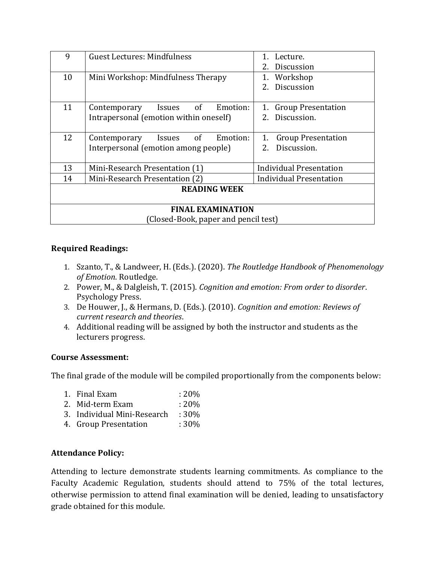| 9                                    | <b>Guest Lectures: Mindfulness</b>              | Lecture.                        |  |  |  |
|--------------------------------------|-------------------------------------------------|---------------------------------|--|--|--|
|                                      |                                                 | <b>Discussion</b>               |  |  |  |
| 10                                   | Mini Workshop: Mindfulness Therapy              | 1. Workshop                     |  |  |  |
|                                      |                                                 | 2. Discussion                   |  |  |  |
|                                      |                                                 |                                 |  |  |  |
| 11                                   | of<br>Emotion:<br>Contemporary<br>Issues        | 1. Group Presentation           |  |  |  |
|                                      | Intrapersonal (emotion within oneself)          | 2. Discussion.                  |  |  |  |
|                                      |                                                 |                                 |  |  |  |
| 12                                   | of<br>Emotion:<br>Contemporary<br><i>Issues</i> | <b>Group Presentation</b><br>1. |  |  |  |
|                                      | Interpersonal (emotion among people)            | Discussion.<br>2 <sub>1</sub>   |  |  |  |
|                                      |                                                 |                                 |  |  |  |
| 13                                   | Mini-Research Presentation (1)                  | <b>Individual Presentation</b>  |  |  |  |
| 14                                   | Mini-Research Presentation (2)                  | Individual Presentation         |  |  |  |
| <b>READING WEEK</b>                  |                                                 |                                 |  |  |  |
|                                      |                                                 |                                 |  |  |  |
| <b>FINAL EXAMINATION</b>             |                                                 |                                 |  |  |  |
| (Closed-Book, paper and pencil test) |                                                 |                                 |  |  |  |

## **Required Readings:**

- 1. Szanto, T., & Landweer, H. (Eds.). (2020). *The Routledge Handbook of Phenomenology of Emotion*. Routledge.
- 2. Power, M., & Dalgleish, T. (2015). *Cognition and emotion: From order to disorder*. Psychology Press.
- 3. De Houwer, J., & Hermans, D. (Eds.). (2010). *Cognition and emotion: Reviews of current research and theories*.
- 4. Additional reading will be assigned by both the instructor and students as the lecturers progress.

## **Course Assessment:**

The final grade of the module will be compiled proportionally from the components below:

- 1. Final Exam : 20%
- 2. Mid-term Exam : 20%
- 3. Individual Mini-Research : 30%
- 4. Group Presentation : 30%

## **Attendance Policy:**

Attending to lecture demonstrate students learning commitments. As compliance to the Faculty Academic Regulation, students should attend to 75% of the total lectures, otherwise permission to attend final examination will be denied, leading to unsatisfactory grade obtained for this module.